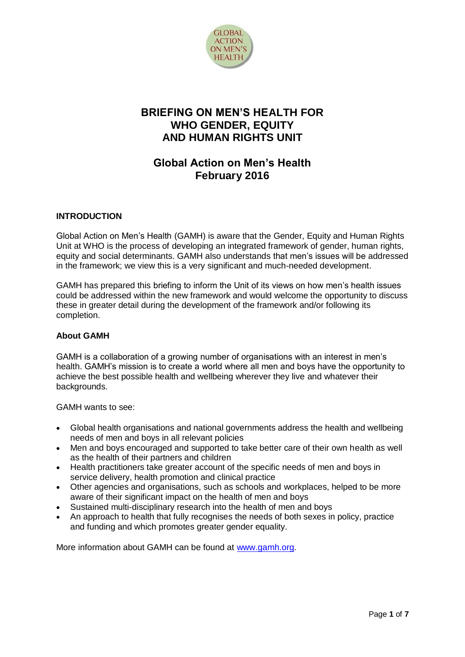

# **BRIEFING ON MEN'S HEALTH FOR WHO GENDER, EQUITY AND HUMAN RIGHTS UNIT**

# **Global Action on Men's Health February 2016**

# **INTRODUCTION**

Global Action on Men's Health (GAMH) is aware that the Gender, Equity and Human Rights Unit at WHO is the process of developing an integrated framework of gender, human rights, equity and social determinants. GAMH also understands that men's issues will be addressed in the framework; we view this is a very significant and much-needed development.

GAMH has prepared this briefing to inform the Unit of its views on how men's health issues could be addressed within the new framework and would welcome the opportunity to discuss these in greater detail during the development of the framework and/or following its completion.

# **About GAMH**

GAMH is a collaboration of a growing number of organisations with an interest in men's health. GAMH's mission is to create a world where all men and boys have the opportunity to achieve the best possible health and wellbeing wherever they live and whatever their backgrounds.

GAMH wants to see:

- Global health organisations and national governments address the health and wellbeing needs of men and boys in all relevant policies
- Men and boys encouraged and supported to take better care of their own health as well as the health of their partners and children
- Health practitioners take greater account of the specific needs of men and boys in service delivery, health promotion and clinical practice
- Other agencies and organisations, such as schools and workplaces, helped to be more aware of their significant impact on the health of men and boys
- Sustained multi-disciplinary research into the health of men and boys
- An approach to health that fully recognises the needs of both sexes in policy, practice and funding and which promotes greater gender equality.

More information about GAMH can be found at [www.gamh.org.](http://www.gamh.org/)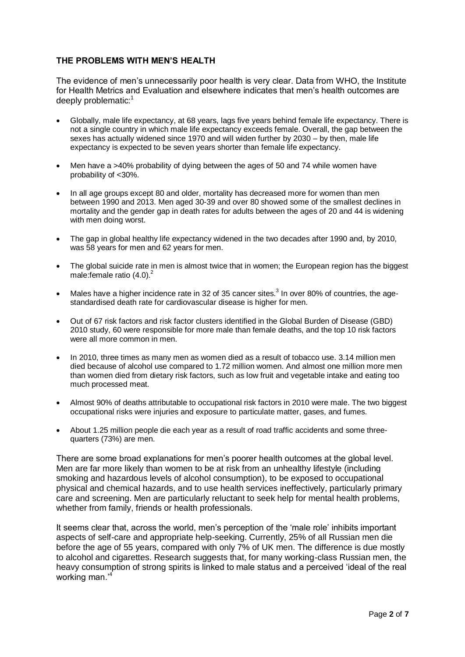# **THE PROBLEMS WITH MEN'S HEALTH**

The evidence of men's unnecessarily poor health is very clear. Data from WHO, the Institute for Health Metrics and Evaluation and elsewhere indicates that men's health outcomes are deeply problematic:<sup>1</sup>

- Globally, male life expectancy, at 68 years, lags five years behind female life expectancy. There is not a single country in which male life expectancy exceeds female. Overall, the gap between the sexes has actually widened since 1970 and will widen further by 2030 – by then, male life expectancy is expected to be seven years shorter than female life expectancy.
- Men have a >40% probability of dying between the ages of 50 and 74 while women have probability of <30%.
- In all age groups except 80 and older, mortality has decreased more for women than men between 1990 and 2013. Men aged 30-39 and over 80 showed some of the smallest declines in mortality and the gender gap in death rates for adults between the ages of 20 and 44 is widening with men doing worst.
- The gap in global healthy life expectancy widened in the two decades after 1990 and, by 2010, was 58 years for men and 62 years for men.
- The global suicide rate in men is almost twice that in women; the European region has the biggest male: female ratio  $(4.0)^2$
- Males have a higher incidence rate in 32 of 35 cancer sites.<sup>3</sup> In over 80% of countries, the agestandardised death rate for cardiovascular disease is higher for men.
- Out of 67 risk factors and risk factor clusters identified in the Global Burden of Disease (GBD) 2010 study, 60 were responsible for more male than female deaths, and the top 10 risk factors were all more common in men.
- In 2010, three times as many men as women died as a result of tobacco use. 3.14 million men died because of alcohol use compared to 1.72 million women. And almost one million more men than women died from dietary risk factors, such as low fruit and vegetable intake and eating too much processed meat.
- Almost 90% of deaths attributable to occupational risk factors in 2010 were male. The two biggest occupational risks were injuries and exposure to particulate matter, gases, and fumes.
- About 1.25 million people die each year as a result of road traffic accidents and some threequarters (73%) are men.

There are some broad explanations for men's poorer health outcomes at the global level. Men are far more likely than women to be at risk from an unhealthy lifestyle (including smoking and hazardous levels of alcohol consumption), to be exposed to occupational physical and chemical hazards, and to use health services ineffectively, particularly primary care and screening. Men are particularly reluctant to seek help for mental health problems, whether from family, friends or health professionals.

It seems clear that, across the world, men's perception of the 'male role' inhibits important aspects of self-care and appropriate help-seeking. Currently, 25% of all Russian men die before the age of 55 years, compared with only 7% of UK men. The difference is due mostly to alcohol and cigarettes. Research suggests that, for many working-class Russian men, the heavy consumption of strong spirits is linked to male status and a perceived 'ideal of the real working man.'<sup>4</sup>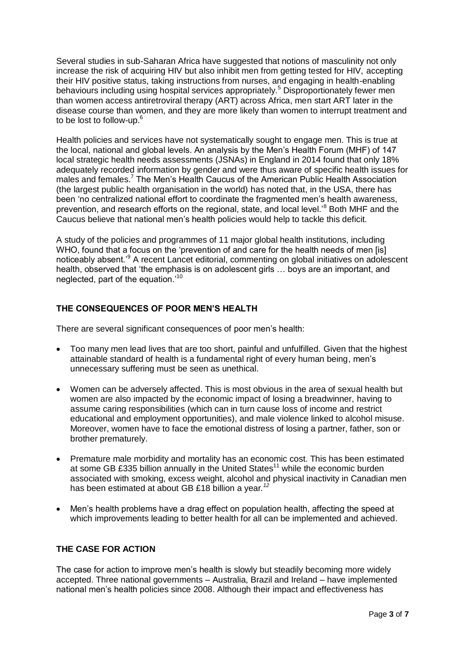Several studies in sub-Saharan Africa have suggested that notions of masculinity not only increase the risk of acquiring HIV but also inhibit men from getting tested for HIV, accepting their HIV positive status, taking instructions from nurses, and engaging in health-enabling behaviours including using hospital services appropriately.<sup>5</sup> Disproportionately fewer men than women access antiretroviral therapy (ART) across Africa, men start ART later in the disease course than women, and they are more likely than women to interrupt treatment and to be lost to follow-up.<sup>6</sup>

Health policies and services have not systematically sought to engage men. This is true at the local, national and global levels. An analysis by the Men's Health Forum (MHF) of 147 local strategic health needs assessments (JSNAs) in England in 2014 found that only 18% adequately recorded information by gender and were thus aware of specific health issues for males and females. <sup>7</sup> The Men's Health Caucus of the American Public Health Association (the largest public health organisation in the world) has noted that, in the USA, there has been 'no centralized national effort to coordinate the fragmented men's health awareness, prevention, and research efforts on the regional, state, and local level.'<sup>8</sup> Both MHF and the Caucus believe that national men's health policies would help to tackle this deficit.

A study of the policies and programmes of 11 major global health institutions, including WHO, found that a focus on the 'prevention of and care for the health needs of men [is] noticeably absent.<sup>9</sup> A recent Lancet editorial, commenting on global initiatives on adolescent health, observed that 'the emphasis is on adolescent girls … boys are an important, and neglected, part of the equation.'<sup>10</sup>

# **THE CONSEQUENCES OF POOR MEN'S HEALTH**

There are several significant consequences of poor men's health:

- Too many men lead lives that are too short, painful and unfulfilled. Given that the highest attainable standard of health is a fundamental right of every human being, men's unnecessary suffering must be seen as unethical.
- Women can be adversely affected. This is most obvious in the area of sexual health but women are also impacted by the economic impact of losing a breadwinner, having to assume caring responsibilities (which can in turn cause loss of income and restrict educational and employment opportunities), and male violence linked to alcohol misuse. Moreover, women have to face the emotional distress of losing a partner, father, son or brother prematurely.
- Premature male morbidity and mortality has an economic cost. This has been estimated at some GB £335 billion annually in the United States<sup>11</sup> while th*e* economic burden associated with smoking, excess weight, alcohol and physical inactivity in Canadian men has been estimated at about GB £18 billion a year*. 12*
- Men's health problems have a drag effect on population health, affecting the speed at which improvements leading to better health for all can be implemented and achieved.

# **THE CASE FOR ACTION**

The case for action to improve men's health is slowly but steadily becoming more widely accepted. Three national governments – Australia, Brazil and Ireland – have implemented national men's health policies since 2008. Although their impact and effectiveness has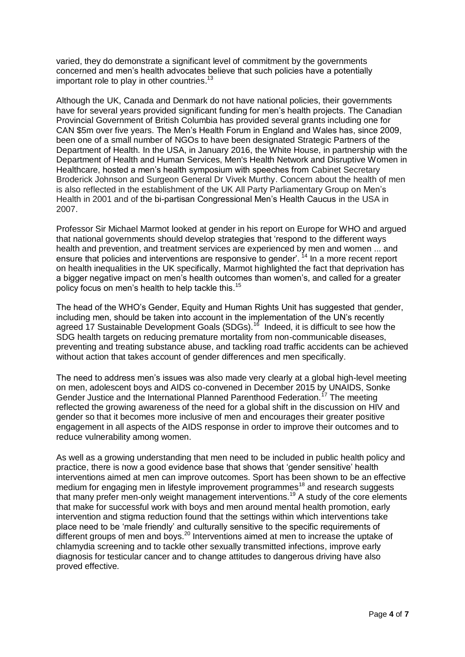varied, they do demonstrate a significant level of commitment by the governments concerned and men's health advocates believe that such policies have a potentially important role to play in other countries.<sup>13</sup>

Although the UK, Canada and Denmark do not have national policies, their governments have for several years provided significant funding for men's health projects. The Canadian Provincial Government of British Columbia has provided several grants including one for CAN \$5m over five years. The Men's Health Forum in England and Wales has, since 2009, been one of a small number of NGOs to have been designated Strategic Partners of the Department of Health. In the USA, in January 2016, the White House, in partnership with the Department of Health and Human Services, Men's Health Network and Disruptive Women in Healthcare, hosted a men's health symposium with speeches from Cabinet Secretary Broderick Johnson and Surgeon General Dr Vivek Murthy. Concern about the health of men is also reflected in the establishment of the UK All Party Parliamentary Group on Men's Health in 2001 and of the bi-partisan Congressional Men's Health Caucus in the USA in 2007.

Professor Sir Michael Marmot looked at gender in his report on Europe for WHO and argued that national governments should develop strategies that 'respond to the different ways health and prevention, and treatment services are experienced by men and women ... and ensure that policies and interventions are responsive to gender'. <sup>14</sup> In a more recent report on health inequalities in the UK specifically, Marmot highlighted the fact that deprivation has a bigger negative impact on men's health outcomes than women's, and called for a greater policy focus on men's health to help tackle this.<sup>15</sup>

The head of the WHO's Gender, Equity and Human Rights Unit has suggested that gender, including men, should be taken into account in the implementation of the UN's recently agreed 17 Sustainable Development Goals (SDGs).<sup>16</sup> Indeed, it is difficult to see how the SDG health targets on reducing premature mortality from non-communicable diseases, preventing and treating substance abuse, and tackling road traffic accidents can be achieved without action that takes account of gender differences and men specifically.

The need to address men's issues was also made very clearly at a global high-level meeting on men, adolescent boys and AIDS co-convened in December 2015 by UNAIDS, Sonke Gender Justice and the International Planned Parenthood Federation.<sup>17</sup> The meeting reflected the growing awareness of the need for a global shift in the discussion on HIV and gender so that it becomes more inclusive of men and encourages their greater positive engagement in all aspects of the AIDS response in order to improve their outcomes and to reduce vulnerability among women.

As well as a growing understanding that men need to be included in public health policy and practice, there is now a good evidence base that shows that 'gender sensitive' health interventions aimed at men can improve outcomes. Sport has been shown to be an effective medium for engaging men in lifestyle improvement programmes<sup>18</sup> and research suggests that many prefer men-only weight management interventions.<sup>19</sup> A study of the core elements that make for successful work with boys and men around mental health promotion, early intervention and stigma reduction found that the settings within which interventions take place need to be 'male friendly' and culturally sensitive to the specific requirements of different groups of men and boys.<sup>20</sup> Interventions aimed at men to increase the uptake of chlamydia screening and to tackle other sexually transmitted infections, improve early diagnosis for testicular cancer and to change attitudes to dangerous driving have also proved effective.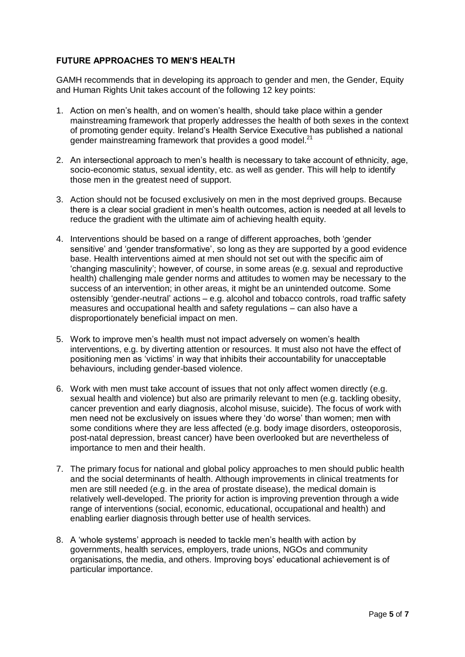# **FUTURE APPROACHES TO MEN'S HEALTH**

GAMH recommends that in developing its approach to gender and men, the Gender, Equity and Human Rights Unit takes account of the following 12 key points:

- 1. Action on men's health, and on women's health, should take place within a gender mainstreaming framework that properly addresses the health of both sexes in the context of promoting gender equity. Ireland's Health Service Executive has published a national gender mainstreaming framework that provides a good model.<sup>21</sup>
- 2. An intersectional approach to men's health is necessary to take account of ethnicity, age, socio-economic status, sexual identity, etc. as well as gender. This will help to identify those men in the greatest need of support.
- 3. Action should not be focused exclusively on men in the most deprived groups. Because there is a clear social gradient in men's health outcomes, action is needed at all levels to reduce the gradient with the ultimate aim of achieving health equity.
- 4. Interventions should be based on a range of different approaches, both 'gender sensitive' and 'gender transformative', so long as they are supported by a good evidence base. Health interventions aimed at men should not set out with the specific aim of 'changing masculinity'; however, of course, in some areas (e.g. sexual and reproductive health) challenging male gender norms and attitudes to women may be necessary to the success of an intervention; in other areas, it might be an unintended outcome. Some ostensibly 'gender-neutral' actions – e.g. alcohol and tobacco controls, road traffic safety measures and occupational health and safety regulations – can also have a disproportionately beneficial impact on men.
- 5. Work to improve men's health must not impact adversely on women's health interventions, e.g. by diverting attention or resources. It must also not have the effect of positioning men as 'victims' in way that inhibits their accountability for unacceptable behaviours, including gender-based violence.
- 6. Work with men must take account of issues that not only affect women directly (e.g. sexual health and violence) but also are primarily relevant to men (e.g. tackling obesity, cancer prevention and early diagnosis, alcohol misuse, suicide). The focus of work with men need not be exclusively on issues where they 'do worse' than women; men with some conditions where they are less affected (e.g. body image disorders, osteoporosis, post-natal depression, breast cancer) have been overlooked but are nevertheless of importance to men and their health.
- 7. The primary focus for national and global policy approaches to men should public health and the social determinants of health. Although improvements in clinical treatments for men are still needed (e.g. in the area of prostate disease), the medical domain is relatively well-developed. The priority for action is improving prevention through a wide range of interventions (social, economic, educational, occupational and health) and enabling earlier diagnosis through better use of health services.
- 8. A 'whole systems' approach is needed to tackle men's health with action by governments, health services, employers, trade unions, NGOs and community organisations, the media, and others. Improving boys' educational achievement is of particular importance.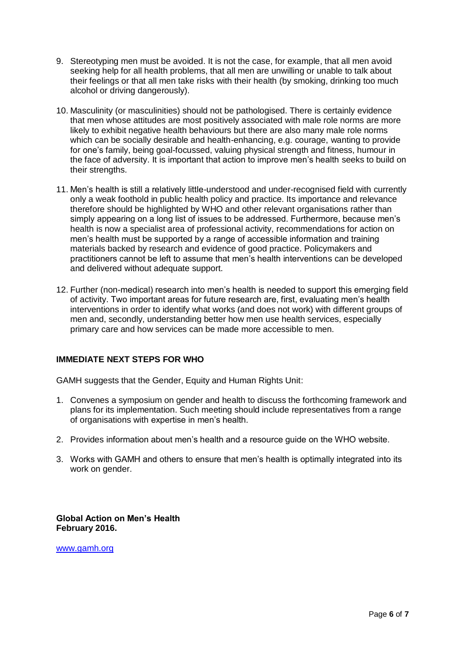- 9. Stereotyping men must be avoided. It is not the case, for example, that all men avoid seeking help for all health problems, that all men are unwilling or unable to talk about their feelings or that all men take risks with their health (by smoking, drinking too much alcohol or driving dangerously).
- 10. Masculinity (or masculinities) should not be pathologised. There is certainly evidence that men whose attitudes are most positively associated with male role norms are more likely to exhibit negative health behaviours but there are also many male role norms which can be socially desirable and health-enhancing, e.g. courage, wanting to provide for one's family, being goal-focussed, valuing physical strength and fitness, humour in the face of adversity. It is important that action to improve men's health seeks to build on their strengths.
- 11. Men's health is still a relatively little-understood and under-recognised field with currently only a weak foothold in public health policy and practice. Its importance and relevance therefore should be highlighted by WHO and other relevant organisations rather than simply appearing on a long list of issues to be addressed. Furthermore, because men's health is now a specialist area of professional activity, recommendations for action on men's health must be supported by a range of accessible information and training materials backed by research and evidence of good practice. Policymakers and practitioners cannot be left to assume that men's health interventions can be developed and delivered without adequate support.
- 12. Further (non-medical) research into men's health is needed to support this emerging field of activity. Two important areas for future research are, first, evaluating men's health interventions in order to identify what works (and does not work) with different groups of men and, secondly, understanding better how men use health services, especially primary care and how services can be made more accessible to men.

# **IMMEDIATE NEXT STEPS FOR WHO**

GAMH suggests that the Gender, Equity and Human Rights Unit:

- 1. Convenes a symposium on gender and health to discuss the forthcoming framework and plans for its implementation. Such meeting should include representatives from a range of organisations with expertise in men's health.
- 2. Provides information about men's health and a resource guide on the WHO website.
- 3. Works with GAMH and others to ensure that men's health is optimally integrated into its work on gender.

**Global Action on Men's Health February 2016.**

[www.gamh.org](http://www.gamh.org/)